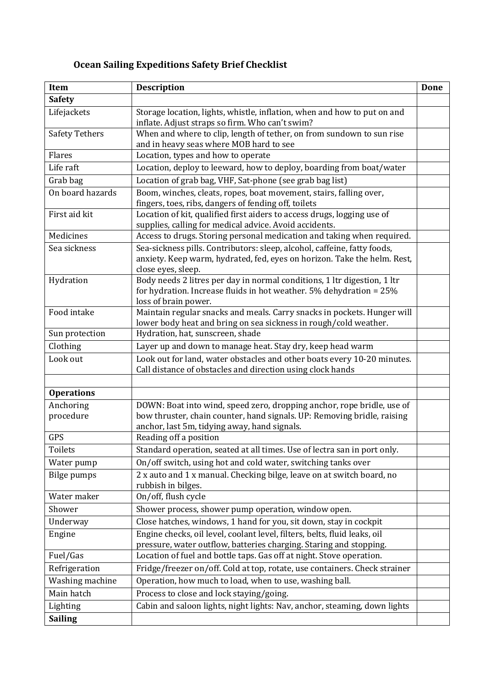## **Ocean Sailing Expeditions Safety Brief Checklist**

| Item                  | <b>Description</b>                                                                                                                                                         | Done |
|-----------------------|----------------------------------------------------------------------------------------------------------------------------------------------------------------------------|------|
| <b>Safety</b>         |                                                                                                                                                                            |      |
| Lifejackets           | Storage location, lights, whistle, inflation, when and how to put on and<br>inflate. Adjust straps so firm. Who can't swim?                                                |      |
| <b>Safety Tethers</b> | When and where to clip, length of tether, on from sundown to sun rise<br>and in heavy seas where MOB hard to see                                                           |      |
| Flares                | Location, types and how to operate                                                                                                                                         |      |
| Life raft             | Location, deploy to leeward, how to deploy, boarding from boat/water                                                                                                       |      |
| Grab bag              | Location of grab bag, VHF, Sat-phone (see grab bag list)                                                                                                                   |      |
| On board hazards      | Boom, winches, cleats, ropes, boat movement, stairs, falling over,<br>fingers, toes, ribs, dangers of fending off, toilets                                                 |      |
| First aid kit         | Location of kit, qualified first aiders to access drugs, logging use of<br>supplies, calling for medical advice. Avoid accidents.                                          |      |
| Medicines             | Access to drugs. Storing personal medication and taking when required.                                                                                                     |      |
| Sea sickness          | Sea-sickness pills. Contributors: sleep, alcohol, caffeine, fatty foods,<br>anxiety. Keep warm, hydrated, fed, eyes on horizon. Take the helm. Rest,<br>close eyes, sleep. |      |
| Hydration             | Body needs 2 litres per day in normal conditions, 1 ltr digestion, 1 ltr<br>for hydration. Increase fluids in hot weather. 5% dehydration = 25%<br>loss of brain power.    |      |
| Food intake           | Maintain regular snacks and meals. Carry snacks in pockets. Hunger will<br>lower body heat and bring on sea sickness in rough/cold weather.                                |      |
| Sun protection        | Hydration, hat, sunscreen, shade                                                                                                                                           |      |
| Clothing              | Layer up and down to manage heat. Stay dry, keep head warm                                                                                                                 |      |
| Look out              | Look out for land, water obstacles and other boats every 10-20 minutes.<br>Call distance of obstacles and direction using clock hands                                      |      |
| <b>Operations</b>     |                                                                                                                                                                            |      |
| Anchoring             | DOWN: Boat into wind, speed zero, dropping anchor, rope bridle, use of                                                                                                     |      |
| procedure             | bow thruster, chain counter, hand signals. UP: Removing bridle, raising<br>anchor, last 5m, tidying away, hand signals.                                                    |      |
| <b>GPS</b>            | Reading off a position                                                                                                                                                     |      |
| Toilets               | Standard operation, seated at all times. Use of lectra san in port only.                                                                                                   |      |
| Water pump            | On/off switch, using hot and cold water, switching tanks over                                                                                                              |      |
| Bilge pumps           | 2 x auto and 1 x manual. Checking bilge, leave on at switch board, no<br>rubbish in bilges.                                                                                |      |
| Water maker           | On/off, flush cycle                                                                                                                                                        |      |
| Shower                | Shower process, shower pump operation, window open.                                                                                                                        |      |
| Underway              | Close hatches, windows, 1 hand for you, sit down, stay in cockpit                                                                                                          |      |
| Engine                | Engine checks, oil level, coolant level, filters, belts, fluid leaks, oil<br>pressure, water outflow, batteries charging. Staring and stopping.                            |      |
| Fuel/Gas              | Location of fuel and bottle taps. Gas off at night. Stove operation.                                                                                                       |      |
| Refrigeration         | Fridge/freezer on/off. Cold at top, rotate, use containers. Check strainer                                                                                                 |      |
| Washing machine       | Operation, how much to load, when to use, washing ball.                                                                                                                    |      |
| Main hatch            | Process to close and lock staying/going.                                                                                                                                   |      |
| Lighting              | Cabin and saloon lights, night lights: Nav, anchor, steaming, down lights                                                                                                  |      |
| <b>Sailing</b>        |                                                                                                                                                                            |      |